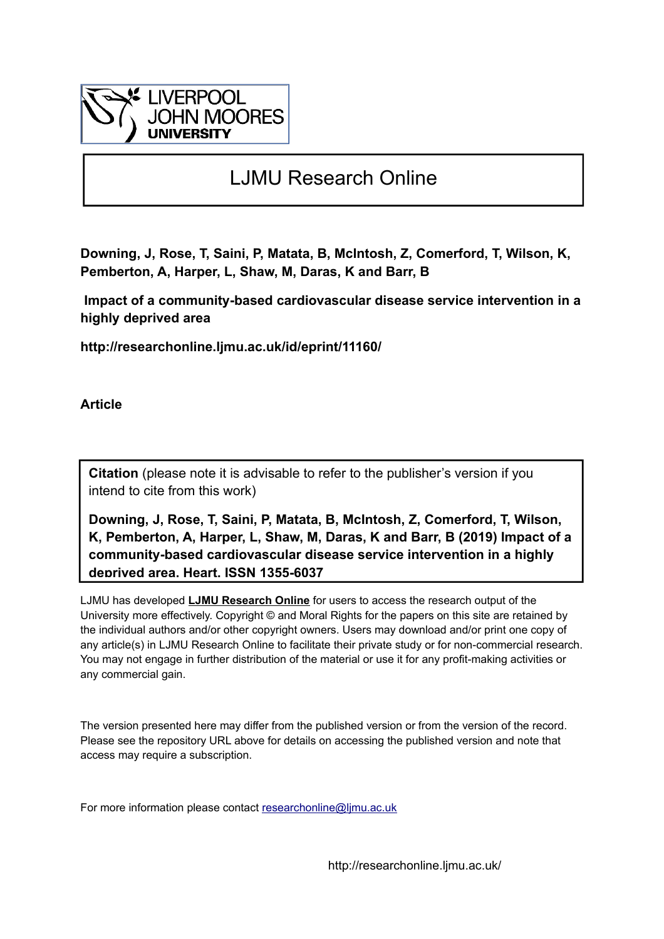

## LJMU Research Online

**Downing, J, Rose, T, Saini, P, Matata, B, McIntosh, Z, Comerford, T, Wilson, K, Pemberton, A, Harper, L, Shaw, M, Daras, K and Barr, B**

 **Impact of a community-based cardiovascular disease service intervention in a highly deprived area**

**http://researchonline.ljmu.ac.uk/id/eprint/11160/**

**Article**

**Citation** (please note it is advisable to refer to the publisher's version if you intend to cite from this work)

**Downing, J, Rose, T, Saini, P, Matata, B, McIntosh, Z, Comerford, T, Wilson, K, Pemberton, A, Harper, L, Shaw, M, Daras, K and Barr, B (2019) Impact of a community-based cardiovascular disease service intervention in a highly deprived area. Heart. ISSN 1355-6037** 

LJMU has developed **[LJMU Research Online](http://researchonline.ljmu.ac.uk/)** for users to access the research output of the University more effectively. Copyright © and Moral Rights for the papers on this site are retained by the individual authors and/or other copyright owners. Users may download and/or print one copy of any article(s) in LJMU Research Online to facilitate their private study or for non-commercial research. You may not engage in further distribution of the material or use it for any profit-making activities or any commercial gain.

The version presented here may differ from the published version or from the version of the record. Please see the repository URL above for details on accessing the published version and note that access may require a subscription.

For more information please contact researchonline@limu.ac.uk

http://researchonline.ljmu.ac.uk/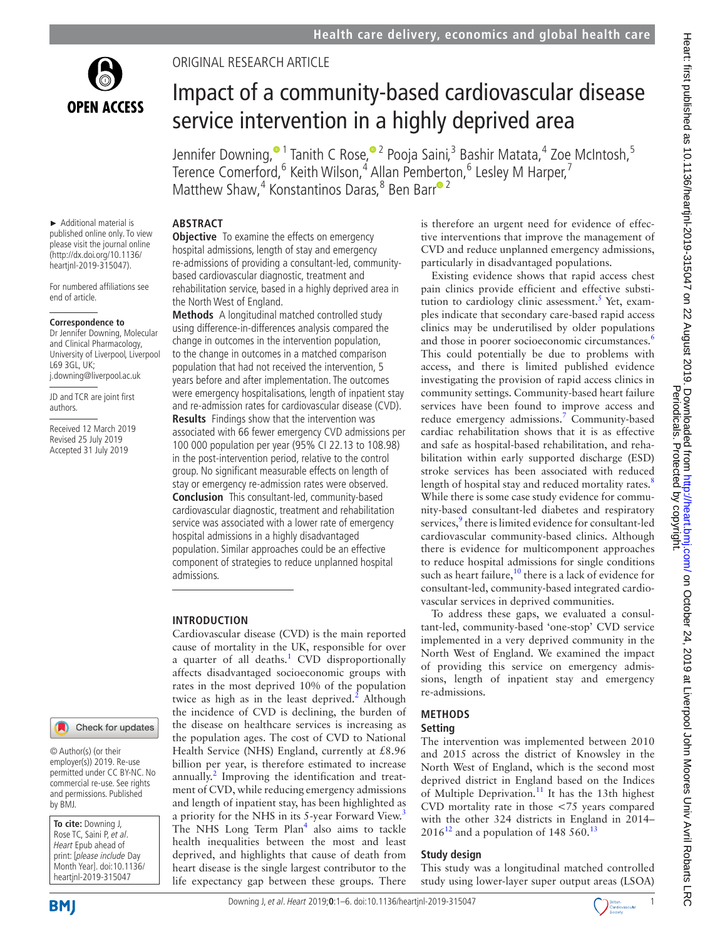

## Original research article

# Impact of a community-based cardiovascular disease service intervention in a highly deprived area

Jennifer Downing,<sup>® 1</sup> Tanith C Rose,<sup>® 2</sup> Pooja Saini,<sup>3</sup> Bashir Matata,<sup>4</sup> Zoe McIntosh,<sup>5</sup> T[er](http://orcid.org/0000-0002-4208-9475)ence Comerford, <sup>6</sup> Keith Wilson, <sup>4</sup> Allan Pemberton, <sup>6</sup> Lesley M Harper, <sup>7</sup> Matthew Shaw,<sup>4</sup> Konstantinos Daras,<sup>8</sup> Ben Barr<sup>o 2</sup>

#### ► Additional material is published online only. To view please visit the journal online [\(http://dx.doi.org/10.1136/](http://dx.doi.org/10.1136heartjnl-2019-315047) [heartjnl-2019-315047](http://dx.doi.org/10.1136heartjnl-2019-315047)).

For numbered affiliations see end of article.

#### **Correspondence to**

Dr Jennifer Downing, Molecular and Clinical Pharmacology, University of Liverpool, Liverpool  $169$  3GL, UK; j.downing@liverpool.ac.uk

JD and TCR are joint first authors.

Received 12 March 2019 Revised 25 July 2019 Accepted 31 July 2019

#### **Abstract**

**Objective** To examine the effects on emergency hospital admissions, length of stay and emergency re-admissions of providing a consultant-led, communitybased cardiovascular diagnostic, treatment and rehabilitation service, based in a highly deprived area in the North West of England.

**Methods** A longitudinal matched controlled study using difference-in-differences analysis compared the change in outcomes in the intervention population, to the change in outcomes in a matched comparison population that had not received the intervention, 5 years before and after implementation. The outcomes were emergency hospitalisations, length of inpatient stay and re-admission rates for cardiovascular disease (CVD). **Results** Findings show that the intervention was associated with 66 fewer emergency CVD admissions per 100 000 population per year (95% CI 22.13 to 108.98) in the post-intervention period, relative to the control group. No significant measurable effects on length of stay or emergency re-admission rates were observed. **Conclusion** This consultant-led, community-based cardiovascular diagnostic, treatment and rehabilitation service was associated with a lower rate of emergency hospital admissions in a highly disadvantaged population. Similar approaches could be an effective component of strategies to reduce unplanned hospital admissions.

#### **Introduction**

Cardiovascular disease (CVD) is the main reported cause of mortality in the UK, responsible for over a quarter of all deaths.<sup>[1](#page-6-0)</sup> CVD disproportionally affects disadvantaged socioeconomic groups with rates in the most deprived 10% of the population twice as high as in the least deprived.<sup>[2](#page-6-1)</sup> Although the incidence of CVD is declining, the burden of the disease on healthcare services is increasing as the population ages. The cost of CVD to National Health Service (NHS) England, currently at £8.96 billion per year, is therefore estimated to increase annually.<sup>[2](#page-6-1)</sup> Improving the identification and treatment of CVD, while reducing emergency admissions and length of inpatient stay, has been highlighted as a priority for the NHS in its 5-year Forward View.<sup>[3](#page-6-2)</sup> The NHS Long Term Plan<sup>[4](#page-6-3)</sup> also aims to tackle health inequalities between the most and least deprived, and highlights that cause of death from heart disease is the single largest contributor to the life expectancy gap between these groups. There

is therefore an urgent need for evidence of effective interventions that improve the management of CVD and reduce unplanned emergency admissions, particularly in disadvantaged populations.

Existing evidence shows that rapid access chest pain clinics provide efficient and effective substitution to cardiology clinic assessment.<sup>5</sup> Yet, examples indicate that secondary care-based rapid access clinics may be underutilised by older populations and those in poorer socioeconomic circumstances.<sup>[6](#page-6-5)</sup> This could potentially be due to problems with access, and there is limited published evidence investigating the provision of rapid access clinics in community settings. Community-based heart failure services have been found to improve access and reduce emergency admissions.<sup>[7](#page-6-6)</sup> Community-based cardiac rehabilitation shows that it is as effective and safe as hospital-based rehabilitation, and rehabilitation within early supported discharge (ESD) stroke services has been associated with reduced length of hospital stay and reduced mortality rates.<sup>[8](#page-6-7)</sup> While there is some case study evidence for community-based consultant-led diabetes and respiratory services,<sup>[9](#page-6-8)</sup> there is limited evidence for consultant-led cardiovascular community-based clinics. Although there is evidence for multicomponent approaches to reduce hospital admissions for single conditions such as heart failure, $10$  there is a lack of evidence for consultant-led, community-based integrated cardiovascular services in deprived communities.

To address these gaps, we evaluated a consultant-led, community-based 'one-stop' CVD service implemented in a very deprived community in the North West of England. We examined the impact of providing this service on emergency admissions, length of inpatient stay and emergency re-admissions.

#### **Methods**

#### **Setting**

The intervention was implemented between 2010 and 2015 across the district of Knowsley in the North West of England, which is the second most deprived district in England based on the Indices of Multiple Deprivation.<sup>11</sup> It has the 13th highest CVD mortality rate in those <75 years compared with the other 324 districts in England in 2014–  $2016^{12}$  $2016^{12}$  $2016^{12}$  and a population of 148 560.<sup>13</sup>

#### **Study design**

This study was a longitudinal matched controlled study using lower-layer super output areas (LSOA)



by BMJ.

**To cite:** Downing J, Rose TC, Saini P, et al. Heart Epub ahead of print: [please include Day Month Year]. doi:10.1136/ heartjnl-2019-315047

© Author(s) (or their employer(s)) 2019. Re-use permitted under CC BY-NC. No commercial re-use. See rights and permissions. Published

Check for updates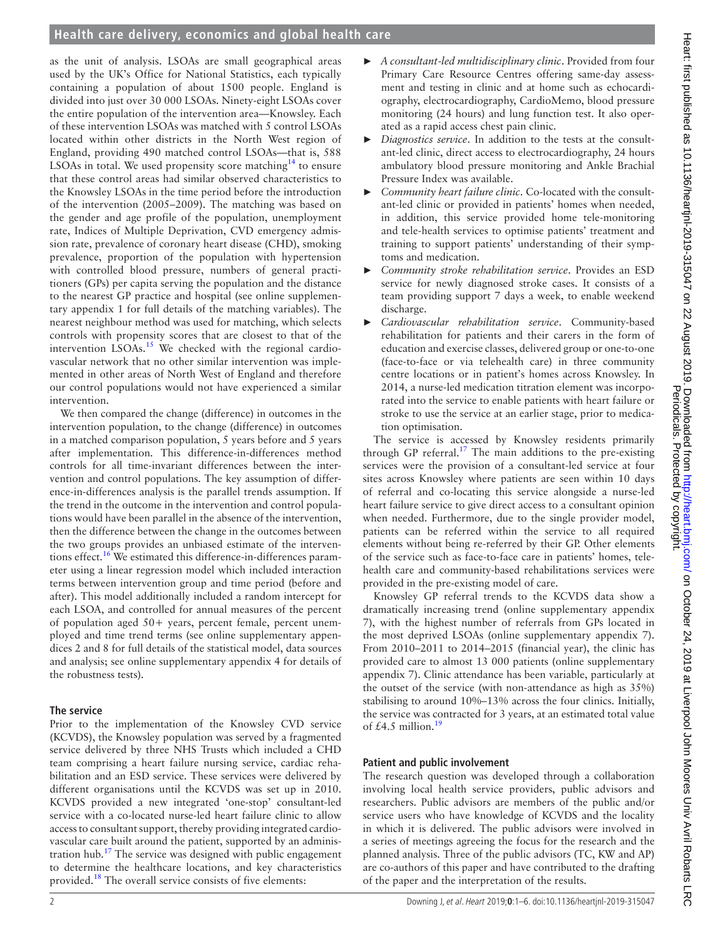as the unit of analysis. LSOAs are small geographical areas used by the UK's Office for National Statistics, each typically containing a population of about 1500 people. England is divided into just over 30 000 LSOAs. Ninety-eight LSOAs cover the entire population of the intervention area—Knowsley. Each of these intervention LSOAs was matched with 5 control LSOAs located within other districts in the North West region of England, providing 490 matched control LSOAs—that is, 588 LSOAs in total. We used propensity score matching<sup>14</sup> to ensure that these control areas had similar observed characteristics to the Knowsley LSOAs in the time period before the introduction of the intervention (2005–2009). The matching was based on the gender and age profile of the population, unemployment rate, Indices of Multiple Deprivation, CVD emergency admission rate, prevalence of coronary heart disease (CHD), smoking prevalence, proportion of the population with hypertension with controlled blood pressure, numbers of general practitioners (GPs) per capita serving the population and the distance to the nearest GP practice and hospital (see [online supplemen](https://dx.doi.org/10.1136/heartjnl-2019-315047)[tary appendix 1](https://dx.doi.org/10.1136/heartjnl-2019-315047) for full details of the matching variables). The nearest neighbour method was used for matching, which selects controls with propensity scores that are closest to that of the intervention  $LSOAs.<sup>15</sup>$  We checked with the regional cardiovascular network that no other similar intervention was implemented in other areas of North West of England and therefore our control populations would not have experienced a similar intervention.

We then compared the change (difference) in outcomes in the intervention population, to the change (difference) in outcomes in a matched comparison population, 5 years before and 5 years after implementation. This difference-in-differences method controls for all time-invariant differences between the intervention and control populations. The key assumption of difference-in-differences analysis is the parallel trends assumption. If the trend in the outcome in the intervention and control populations would have been parallel in the absence of the intervention, then the difference between the change in the outcomes between the two groups provides an unbiased estimate of the interven-tions effect.<sup>[16](#page-6-15)</sup> We estimated this difference-in-differences parameter using a linear regression model which included interaction terms between intervention group and time period (before and after). This model additionally included a random intercept for each LSOA, and controlled for annual measures of the percent of population aged 50+ years, percent female, percent unemployed and time trend terms (see [online supplementary appen](https://dx.doi.org/10.1136/heartjnl-2019-315047)[dices 2 and 8](https://dx.doi.org/10.1136/heartjnl-2019-315047) for full details of the statistical model, data sources and analysis; see [online supplementary appendix 4](https://dx.doi.org/10.1136/heartjnl-2019-315047) for details of the robustness tests).

### **The service**

Prior to the implementation of the Knowsley CVD service (KCVDS), the Knowsley population was served by a fragmented service delivered by three NHS Trusts which included a CHD team comprising a heart failure nursing service, cardiac rehabilitation and an ESD service. These services were delivered by different organisations until the KCVDS was set up in 2010. KCVDS provided a new integrated 'one-stop' consultant-led service with a co-located nurse-led heart failure clinic to allow access to consultant support, thereby providing integrated cardiovascular care built around the patient, supported by an administration hub.<sup>17</sup> The service was designed with public engagement to determine the healthcare locations, and key characteristics provided.[18](#page-6-17) The overall service consists of five elements:

- ► *A consultant-led multidisciplinary clinic*. Provided from four Primary Care Resource Centres offering same-day assessment and testing in clinic and at home such as echocardiography, electrocardiography, CardioMemo, blood pressure monitoring (24 hours) and lung function test. It also operated as a rapid access chest pain clinic.
- ► *Diagnostics service*. In addition to the tests at the consultant-led clinic, direct access to electrocardiography, 24 hours ambulatory blood pressure monitoring and Ankle Brachial Pressure Index was available.
- ► *Community heart failure clinic*. Co-located with the consultant-led clinic or provided in patients' homes when needed, in addition, this service provided home tele-monitoring and tele-health services to optimise patients' treatment and training to support patients' understanding of their symptoms and medication.
- ► *Community stroke rehabilitation service*. Provides an ESD service for newly diagnosed stroke cases. It consists of a team providing support 7 days a week, to enable weekend discharge.
- ► *Cardiovascular rehabilitation service*. Community-based rehabilitation for patients and their carers in the form of education and exercise classes, delivered group or one-to-one (face-to-face or via telehealth care) in three community centre locations or in patient's homes across Knowsley. In 2014, a nurse-led medication titration element was incorporated into the service to enable patients with heart failure or stroke to use the service at an earlier stage, prior to medication optimisation.

The service is accessed by Knowsley residents primarily through GP referral.<sup>17</sup> The main additions to the pre-existing services were the provision of a consultant-led service at four sites across Knowsley where patients are seen within 10 days of referral and co-locating this service alongside a nurse-led heart failure service to give direct access to a consultant opinion when needed. Furthermore, due to the single provider model, patients can be referred within the service to all required elements without being re-referred by their GP. Other elements of the service such as face-to-face care in patients' homes, telehealth care and community-based rehabilitations services were provided in the pre-existing model of care.

Knowsley GP referral trends to the KCVDS data show a dramatically increasing trend ([online supplementary appendix](https://dx.doi.org/10.1136/heartjnl-2019-315047) [7\)](https://dx.doi.org/10.1136/heartjnl-2019-315047), with the highest number of referrals from GPs located in the most deprived LSOAs [\(online supplementary appendix 7\)](https://dx.doi.org/10.1136/heartjnl-2019-315047). From 2010–2011 to 2014–2015 (financial year), the clinic has provided care to almost 13 000 patients ([online supplementary](https://dx.doi.org/10.1136/heartjnl-2019-315047) [appendix 7](https://dx.doi.org/10.1136/heartjnl-2019-315047)). Clinic attendance has been variable, particularly at the outset of the service (with non-attendance as high as 35%) stabilising to around 10%–13% across the four clinics. Initially, the service was contracted for 3 years, at an estimated total value of £4.5 million.<sup>[19](#page-6-18)</sup>

## **Patient and public involvement**

The research question was developed through a collaboration involving local health service providers, public advisors and researchers. Public advisors are members of the public and/or service users who have knowledge of KCVDS and the locality in which it is delivered. The public advisors were involved in a series of meetings agreeing the focus for the research and the planned analysis. Three of the public advisors (TC, KW and AP) are co-authors of this paper and have contributed to the drafting of the paper and the interpretation of the results.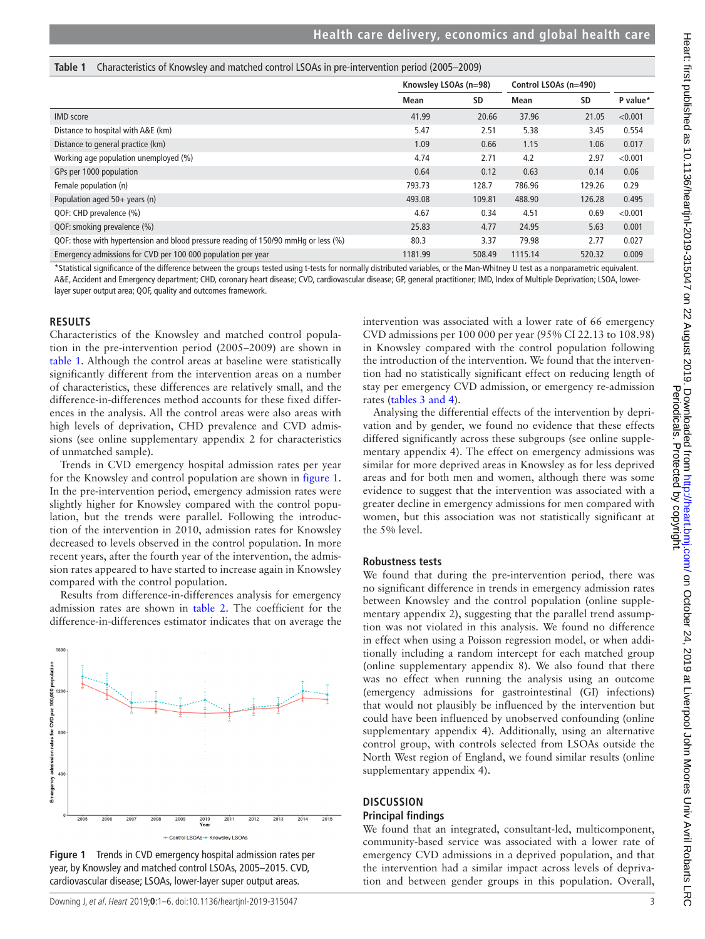<span id="page-3-0"></span>

|  | Table 1 Characteristics of Knowsley and matched control LSOAs in pre-intervention period (2005–2009) |  |  |  |  |  |
|--|------------------------------------------------------------------------------------------------------|--|--|--|--|--|
|--|------------------------------------------------------------------------------------------------------|--|--|--|--|--|

|                                                                                    | Knowsley LSOAs (n=98) |           | Control LSOAs (n=490) |        |          |  |
|------------------------------------------------------------------------------------|-----------------------|-----------|-----------------------|--------|----------|--|
|                                                                                    | <b>Mean</b>           | <b>SD</b> | Mean                  | SD     | P value* |  |
| <b>IMD</b> score                                                                   | 41.99                 | 20.66     | 37.96                 | 21.05  | < 0.001  |  |
| Distance to hospital with A&E (km)                                                 | 5.47                  | 2.51      | 5.38                  | 3.45   | 0.554    |  |
| Distance to general practice (km)                                                  | 1.09                  | 0.66      | 1.15                  | 1.06   | 0.017    |  |
| Working age population unemployed (%)                                              | 4.74                  | 2.71      | 4.2                   | 2.97   | < 0.001  |  |
| GPs per 1000 population                                                            | 0.64                  | 0.12      | 0.63                  | 0.14   | 0.06     |  |
| Female population (n)                                                              | 793.73                | 128.7     | 786.96                | 129.26 | 0.29     |  |
| Population aged 50+ years (n)                                                      | 493.08                | 109.81    | 488.90                | 126.28 | 0.495    |  |
| QOF: CHD prevalence (%)                                                            | 4.67                  | 0.34      | 4.51                  | 0.69   | < 0.001  |  |
| QOF: smoking prevalence (%)                                                        | 25.83                 | 4.77      | 24.95                 | 5.63   | 0.001    |  |
| QOF: those with hypertension and blood pressure reading of 150/90 mmHg or less (%) | 80.3                  | 3.37      | 79.98                 | 2.77   | 0.027    |  |
| Emergency admissions for CVD per 100 000 population per year                       | 1181.99               | 508.49    | 1115.14               | 520.32 | 0.009    |  |

\*Statistical significance of the difference between the groups tested using t-tests for normally distributed variables, or the Man-Whitney U test as a nonparametric equivalent. A&E, Accident and Emergency department; CHD, coronary heart disease; CVD, cardiovascular disease; GP, general practitioner; IMD, Index of Multiple Deprivation; LSOA, lowerlayer super output area; QOF, quality and outcomes framework.

#### **Results**

Characteristics of the Knowsley and matched control population in the pre-intervention period (2005–2009) are shown in [table](#page-3-0) 1. Although the control areas at baseline were statistically significantly different from the intervention areas on a number of characteristics, these differences are relatively small, and the difference-in-differences method accounts for these fixed differences in the analysis. All the control areas were also areas with high levels of deprivation, CHD prevalence and CVD admissions (see [online supplementary appendix 2](https://dx.doi.org/10.1136/heartjnl-2019-315047) for characteristics of unmatched sample).

Trends in CVD emergency hospital admission rates per year for the Knowsley and control population are shown in [figure](#page-3-1) 1. In the pre-intervention period, emergency admission rates were slightly higher for Knowsley compared with the control population, but the trends were parallel. Following the introduction of the intervention in 2010, admission rates for Knowsley decreased to levels observed in the control population. In more recent years, after the fourth year of the intervention, the admission rates appeared to have started to increase again in Knowsley compared with the control population.

Results from difference-in-differences analysis for emergency admission rates are shown in [table](#page-4-0) 2. The coefficient for the difference-in-differences estimator indicates that on average the



<span id="page-3-1"></span>

intervention was associated with a lower rate of 66 emergency CVD admissions per 100 000 per year (95% CI 22.13 to 108.98) in Knowsley compared with the control population following the introduction of the intervention. We found that the intervention had no statistically significant effect on reducing length of stay per emergency CVD admission, or emergency re-admission rates (tables [3 and 4\)](#page-4-1).

Analysing the differential effects of the intervention by deprivation and by gender, we found no evidence that these effects differed significantly across these subgroups (see [online supple](https://dx.doi.org/10.1136/heartjnl-2019-315047)[mentary appendix 4](https://dx.doi.org/10.1136/heartjnl-2019-315047)). The effect on emergency admissions was similar for more deprived areas in Knowsley as for less deprived areas and for both men and women, although there was some evidence to suggest that the intervention was associated with a greater decline in emergency admissions for men compared with women, but this association was not statistically significant at the 5% level.

#### **Robustness tests**

We found that during the pre-intervention period, there was no significant difference in trends in emergency admission rates between Knowsley and the control population ([online supple](https://dx.doi.org/10.1136/heartjnl-2019-315047)[mentary appendix 2\)](https://dx.doi.org/10.1136/heartjnl-2019-315047), suggesting that the parallel trend assumption was not violated in this analysis. We found no difference in effect when using a Poisson regression model, or when additionally including a random intercept for each matched group ([online supplementary appendix 8](https://dx.doi.org/10.1136/heartjnl-2019-315047)). We also found that there was no effect when running the analysis using an outcome (emergency admissions for gastrointestinal (GI) infections) that would not plausibly be influenced by the intervention but could have been influenced by unobserved confounding [\(online](https://dx.doi.org/10.1136/heartjnl-2019-315047) [supplementary appendix 4](https://dx.doi.org/10.1136/heartjnl-2019-315047)). Additionally, using an alternative control group, with controls selected from LSOAs outside the North West region of England, we found similar results [\(online](https://dx.doi.org/10.1136/heartjnl-2019-315047) [supplementary appendix 4](https://dx.doi.org/10.1136/heartjnl-2019-315047)).

#### **Discussion Principal findings**

#### We found that an integrated, consultant-led, multicomponent, community-based service was associated with a lower rate of emergency CVD admissions in a deprived population, and that the intervention had a similar impact across levels of deprivation and between gender groups in this population. Overall,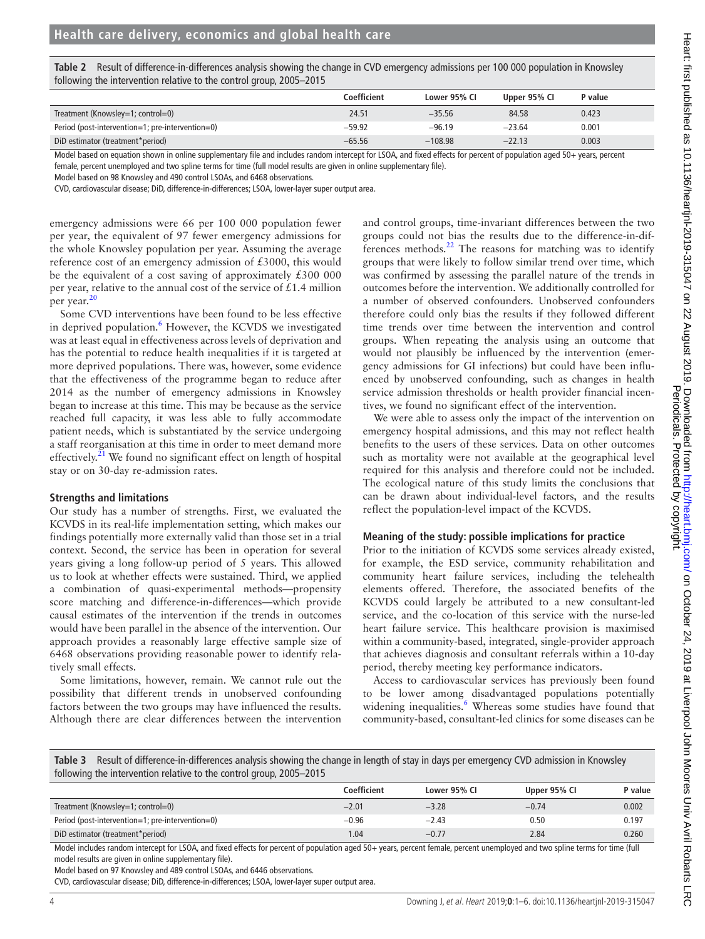| tollowing the intervention relative to the control group, 2005–2015 |              |              |              |         |  |  |  |
|---------------------------------------------------------------------|--------------|--------------|--------------|---------|--|--|--|
|                                                                     | Coefficient  | Lower 95% CI | Upper 95% CI | P value |  |  |  |
| Treatment (Knowsley=1; control=0)                                   | 24.51        | $-35.56$     | 84.58        | 0.423   |  |  |  |
| Period (post-intervention=1; pre-intervention=0)                    | $-59.92$     | $-96.19$     | $-23.64$     | 0.001   |  |  |  |
| DiD octimator (traatmont*noriad)                                    | <b>GE EG</b> | 10000        | 7712         | COO O   |  |  |  |

<span id="page-4-0"></span>**Table 2** Result of difference-in-differences analysis showing the change in CVD emergency admissions per 100 000 population in Knowsley following the intervention relative to the control group, 2005–2015

DiD estimator (treatment\*period) −65.56 −108.98 −22.13 0.003 Model based on equation shown in [online supplementary file](https://dx.doi.org/10.1136/heartjnl-2019-315047) and includes random intercept for LSOA, and fixed effects for percent of population aged 50+ years, percent

female, percent unemployed and two spline terms for time (full model results are given in [online supplementary file](https://dx.doi.org/10.1136/heartjnl-2019-315047)).

Model based on 98 Knowsley and 490 control LSOAs, and 6468 observations.

CVD, cardiovascular disease; DiD, difference-in-differences; LSOA, lower-layer super output area.

emergency admissions were 66 per 100 000 population fewer per year, the equivalent of 97 fewer emergency admissions for the whole Knowsley population per year. Assuming the average reference cost of an emergency admission of £3000, this would be the equivalent of a cost saving of approximately £300 000 per year, relative to the annual cost of the service of  $£1.4$  million per year.<sup>2</sup>

Some CVD interventions have been found to be less effective in deprived population.<sup>[6](#page-6-5)</sup> However, the KCVDS we investigated was at least equal in effectiveness across levels of deprivation and has the potential to reduce health inequalities if it is targeted at more deprived populations. There was, however, some evidence that the effectiveness of the programme began to reduce after 2014 as the number of emergency admissions in Knowsley began to increase at this time. This may be because as the service reached full capacity, it was less able to fully accommodate patient needs, which is substantiated by the service undergoing a staff reorganisation at this time in order to meet demand more effectively.<sup>[21](#page-6-20)</sup> We found no significant effect on length of hospital stay or on 30-day re-admission rates.

#### **Strengths and limitations**

Our study has a number of strengths. First, we evaluated the KCVDS in its real-life implementation setting, which makes our findings potentially more externally valid than those set in a trial context. Second, the service has been in operation for several years giving a long follow-up period of 5 years. This allowed us to look at whether effects were sustained. Third, we applied a combination of quasi-experimental methods—propensity score matching and difference-in-differences—which provide causal estimates of the intervention if the trends in outcomes would have been parallel in the absence of the intervention. Our approach provides a reasonably large effective sample size of 6468 observations providing reasonable power to identify relatively small effects.

Some limitations, however, remain. We cannot rule out the possibility that different trends in unobserved confounding factors between the two groups may have influenced the results. Although there are clear differences between the intervention

and control groups, time-invariant differences between the two groups could not bias the results due to the difference-in-differences methods. $^{22}$  The reasons for matching was to identify groups that were likely to follow similar trend over time, which was confirmed by assessing the parallel nature of the trends in outcomes before the intervention. We additionally controlled for a number of observed confounders. Unobserved confounders therefore could only bias the results if they followed different time trends over time between the intervention and control groups. When repeating the analysis using an outcome that would not plausibly be influenced by the intervention (emergency admissions for GI infections) but could have been influenced by unobserved confounding, such as changes in health service admission thresholds or health provider financial incentives, we found no significant effect of the intervention.

We were able to assess only the impact of the intervention on emergency hospital admissions, and this may not reflect health benefits to the users of these services. Data on other outcomes such as mortality were not available at the geographical level required for this analysis and therefore could not be included. The ecological nature of this study limits the conclusions that can be drawn about individual-level factors, and the results reflect the population-level impact of the KCVDS.

#### **Meaning of the study: possible implications for practice**

Prior to the initiation of KCVDS some services already existed, for example, the ESD service, community rehabilitation and community heart failure services, including the telehealth elements offered. Therefore, the associated benefits of the KCVDS could largely be attributed to a new consultant-led service, and the co-location of this service with the nurse-led heart failure service. This healthcare provision is maximised within a community-based, integrated, single-provider approach that achieves diagnosis and consultant referrals within a 10-day period, thereby meeting key performance indicators.

Access to cardiovascular services has previously been found to be lower among disadvantaged populations potentially widening inequalities.<sup>6</sup> Whereas some studies have found that community-based, consultant-led clinics for some diseases can be

<span id="page-4-1"></span>**Table 3** Result of difference-in-differences analysis showing the change in length of stay in days per emergency CVD admission in Knowsley following the intervention relative to the control group, 2005–2015

|                                                  | Coefficient | Lower 95% CI | Upper 95% CI | P value |
|--------------------------------------------------|-------------|--------------|--------------|---------|
| Treatment (Knowsley=1; control=0)                | $-2.01$     | $-3.28$      | $-0.74$      | 0.002   |
| Period (post-intervention=1; pre-intervention=0) | $-0.96$     | $-2.43$      | 0.50         | 0.197   |
| DiD estimator (treatment*period)                 | .04         | $-0.77$      | 2.84         | 0.260   |

Model includes random intercept for LSOA, and fixed effects for percent of population aged 50+ years, percent female, percent unemployed and two spline terms for time (full model results are given in [online supplementary file\)](https://dx.doi.org/10.1136/heartjnl-2019-315047).

Model based on 97 Knowsley and 489 control LSOAs, and 6446 observations.

CVD, cardiovascular disease; DiD, difference-in-differences; LSOA, lower-layer super output area.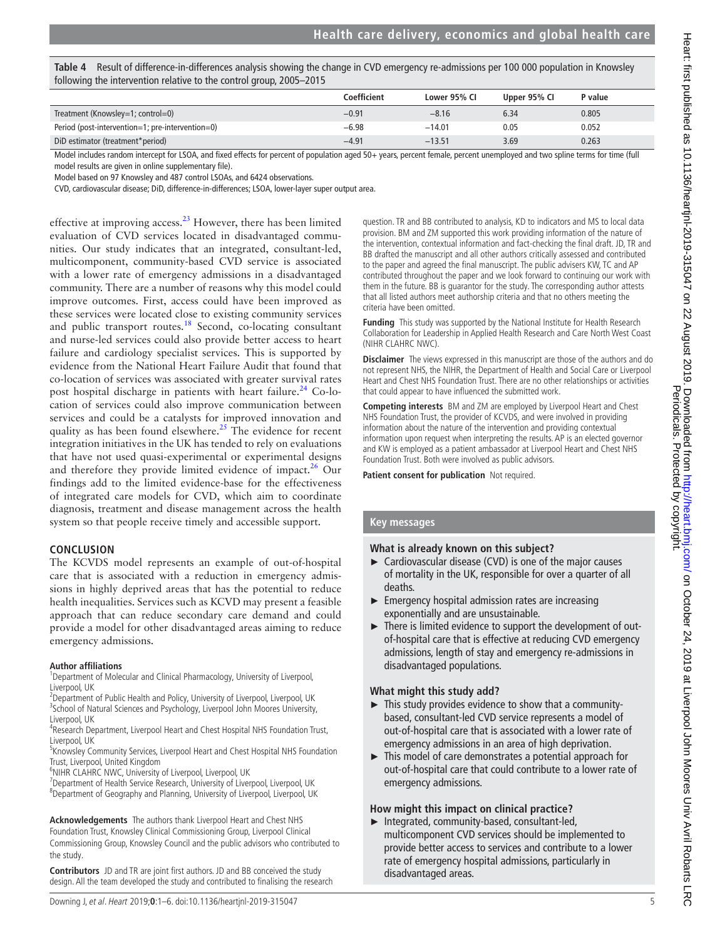| Table 4 Result of difference-in-differences analysis showing the change in CVD emergency re-admissions per 100 000 population in Knowsley |
|-------------------------------------------------------------------------------------------------------------------------------------------|
| following the intervention relative to the control group, 2005-2015                                                                       |

|                                                  | Coefficient | Lower 95% CI | Upper 95% CI | P value |
|--------------------------------------------------|-------------|--------------|--------------|---------|
| Treatment (Knowsley=1; control=0)                | $-0.91$     | $-8.16$      | 6.34         | 0.805   |
| Period (post-intervention=1; pre-intervention=0) | $-6.98$     | $-14.01$     | 0.05         | 0.052   |
| DiD estimator (treatment*period)                 | $-4.91$     | $-13.51$     | 3.69         | 0.263   |

Model includes random intercept for LSOA, and fixed effects for percent of population aged 50+ years, percent female, percent unemployed and two spline terms for time (full model results are given in [online supplementary file\)](https://dx.doi.org/10.1136/heartjnl-2019-315047).

Model based on 97 Knowsley and 487 control LSOAs, and 6424 observations.

CVD, cardiovascular disease; DiD, difference-in-differences; LSOA, lower-layer super output area.

effective at improving access.<sup>23</sup> However, there has been limited evaluation of CVD services located in disadvantaged communities. Our study indicates that an integrated, consultant-led, multicomponent, community-based CVD service is associated with a lower rate of emergency admissions in a disadvantaged community. There are a number of reasons why this model could improve outcomes. First, access could have been improved as these services were located close to existing community services and public transport routes.<sup>[18](#page-6-17)</sup> Second, co-locating consultant and nurse-led services could also provide better access to heart failure and cardiology specialist services. This is supported by evidence from the National Heart Failure Audit that found that co-location of services was associated with greater survival rates post hospital discharge in patients with heart failure.<sup>24</sup> Co-location of services could also improve communication between services and could be a catalysts for improved innovation and quality as has been found elsewhere.<sup>25</sup> The evidence for recent integration initiatives in the UK has tended to rely on evaluations that have not used quasi-experimental or experimental designs and therefore they provide limited evidence of impact. $26$  Our findings add to the limited evidence-base for the effectiveness of integrated care models for CVD, which aim to coordinate diagnosis, treatment and disease management across the health system so that people receive timely and accessible support.

#### **Conclusion**

The KCVDS model represents an example of out-of-hospital care that is associated with a reduction in emergency admissions in highly deprived areas that has the potential to reduce health inequalities. Services such as KCVD may present a feasible approach that can reduce secondary care demand and could provide a model for other disadvantaged areas aiming to reduce emergency admissions.

#### **Author affiliations**

<sup>1</sup>Department of Molecular and Clinical Pharmacology, University of Liverpool, Liverpool, UK

 ${}^{2}$ Department of Public Health and Policy, University of Liverpool, Liverpool, UK<br> ${}^{3}$ School of Natural Sciences and Psychology, Liverpool, John Moores University <sup>3</sup>School of Natural Sciences and Psychology, Liverpool John Moores University, Liverpool, UK

<sup>4</sup>Research Department, Liverpool Heart and Chest Hospital NHS Foundation Trust, Liverpool, UK

<sup>5</sup> Knowsley Community Services, Liverpool Heart and Chest Hospital NHS Foundation Trust, Liverpool, United Kingdom <sup>6</sup>

<sup>6</sup>NIHR CLAHRC NWC, University of Liverpool, Liverpool, UK

<sup>7</sup>Department of Health Service Research, University of Liverpool, Liverpool, UK Department of Geography and Planning, University of Liverpool, Liverpool, UK

**Acknowledgements** The authors thank Liverpool Heart and Chest NHS Foundation Trust, Knowsley Clinical Commissioning Group, Liverpool Clinical Commissioning Group, Knowsley Council and the public advisors who contributed to the study.

**Contributors** JD and TR are joint first authors. JD and BB conceived the study design. All the team developed the study and contributed to finalising the research

**Funding** This study was supported by the National Institute for Health Research Collaboration for Leadership in Applied Health Research and Care North West Coast (NIHR CLAHRC NWC). **Disclaimer** The views expressed in this manuscript are those of the authors and do not represent NHS, the NIHR, the Department of Health and Social Care or Liverpool Heart and Chest NHS Foundation Trust. There are no other relationships or activities that could appear to have influenced the submitted work.

**Competing interests** BM and ZM are employed by Liverpool Heart and Chest NHS Foundation Trust, the provider of KCVDS, and were involved in providing information about the nature of the intervention and providing contextual information upon request when interpreting the results. AP is an elected governor and KW is employed as a patient ambassador at Liverpool Heart and Chest NHS Foundation Trust. Both were involved as public advisors.

question. TR and BB contributed to analysis, KD to indicators and MS to local data provision. BM and ZM supported this work providing information of the nature of the intervention, contextual information and fact-checking the final draft. JD, TR and BB drafted the manuscript and all other authors critically assessed and contributed to the paper and agreed the final manuscript. The public advisers KW, TC and AP contributed throughout the paper and we look forward to continuing our work with them in the future. BB is guarantor for the study. The corresponding author attests that all listed authors meet authorship criteria and that no others meeting the

**Patient consent for publication** Not required.

#### **Key messages**

criteria have been omitted.

#### **What is already known on this subject?**

- ► Cardiovascular disease (CVD) is one of the major causes of mortality in the UK, responsible for over a quarter of all deaths.
- $\blacktriangleright$  Emergency hospital admission rates are increasing exponentially and are unsustainable.
- ► There is limited evidence to support the development of outof-hospital care that is effective at reducing CVD emergency admissions, length of stay and emergency re-admissions in disadvantaged populations.

#### **What might this study add?**

- ► This study provides evidence to show that a communitybased, consultant-led CVD service represents a model of out-of-hospital care that is associated with a lower rate of emergency admissions in an area of high deprivation.
- ► This model of care demonstrates a potential approach for out-of-hospital care that could contribute to a lower rate of emergency admissions.

#### **How might this impact on clinical practice?**

► Integrated, community-based, consultant-led, multicomponent CVD services should be implemented to provide better access to services and contribute to a lower rate of emergency hospital admissions, particularly in disadvantaged areas.